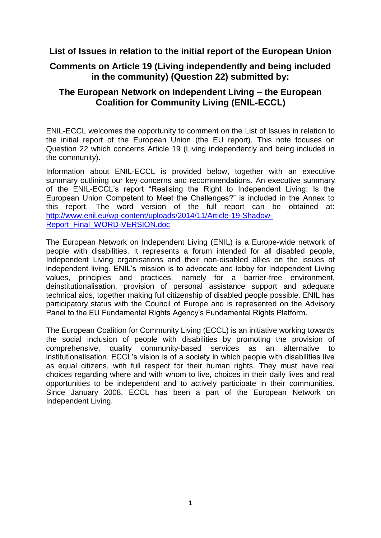# **List of Issues in relation to the initial report of the European Union**

# **Comments on Article 19 (Living independently and being included in the community) (Question 22) submitted by:**

# **The European Network on Independent Living – the European Coalition for Community Living (ENIL-ECCL)**

ENIL-ECCL welcomes the opportunity to comment on the List of Issues in relation to the initial report of the European Union (the EU report). This note focuses on Question 22 which concerns Article 19 (Living independently and being included in the community).

Information about ENIL-ECCL is provided below, together with an executive summary outlining our key concerns and recommendations. An executive summary of the ENIL-ECCL"s report "Realising the Right to Independent Living: Is the European Union Competent to Meet the Challenges?" is included in the Annex to this report. The word version of the full report can be obtained at: [http://www.enil.eu/wp-content/uploads/2014/11/Article-19-Shadow-](http://www.enil.eu/wp-content/uploads/2014/11/Article-19-Shadow-Report_Final_WORD-VERSION.doc)[Report\\_Final\\_WORD-VERSION.doc](http://www.enil.eu/wp-content/uploads/2014/11/Article-19-Shadow-Report_Final_WORD-VERSION.doc)

The European Network on Independent Living (ENIL) is a Europe-wide network of people with disabilities. It represents a forum intended for all disabled people, Independent Living organisations and their non-disabled allies on the issues of independent living. ENIL's mission is to advocate and lobby for Independent Living values, principles and practices, namely for a barrier-free environment, deinstitutionalisation, provision of personal assistance support and adequate technical aids, together making full citizenship of disabled people possible. ENIL has participatory status with the Council of Europe and is represented on the Advisory Panel to the EU Fundamental Rights Agency"s Fundamental Rights Platform.

The European Coalition for Community Living (ECCL) is an initiative working towards the social inclusion of people with disabilities by promoting the provision of comprehensive, quality community-based services as an alternative to institutionalisation. ECCL"s vision is of a society in which people with disabilities live as equal citizens, with full respect for their human rights. They must have real choices regarding where and with whom to live, choices in their daily lives and real opportunities to be independent and to actively participate in their communities. Since January 2008, ECCL has been a part of the European Network on Independent Living.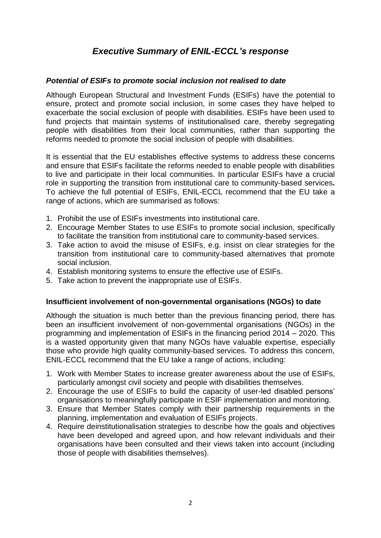# *Executive Summary of ENIL-ECCL's response*

## *Potential of ESIFs to promote social inclusion not realised to date*

Although European Structural and Investment Funds (ESIFs) have the potential to ensure, protect and promote social inclusion, in some cases they have helped to exacerbate the social exclusion of people with disabilities. ESIFs have been used to fund projects that maintain systems of institutionalised care, thereby segregating people with disabilities from their local communities, rather than supporting the reforms needed to promote the social inclusion of people with disabilities.

It is essential that the EU establishes effective systems to address these concerns and ensure that ESIFs facilitate the reforms needed to enable people with disabilities to live and participate in their local communities. In particular ESIFs have a crucial role in supporting the transition from institutional care to community-based services**.**  To achieve the full potential of ESIFs, ENIL-ECCL recommend that the EU take a range of actions, which are summarised as follows:

- 1. Prohibit the use of ESIFs investments into institutional care.
- 2. Encourage Member States to use ESIFs to promote social inclusion, specifically to facilitate the transition from institutional care to community-based services.
- 3. Take action to avoid the misuse of ESIFs, e.g. insist on clear strategies for the transition from institutional care to community-based alternatives that promote social inclusion.
- 4. Establish monitoring systems to ensure the effective use of ESIFs.
- 5. Take action to prevent the inappropriate use of ESIFs.

#### **Insufficient involvement of non-governmental organisations (NGOs) to date**

Although the situation is much better than the previous financing period, there has been an insufficient involvement of non-governmental organisations (NGOs) in the programming and implementation of ESIFs in the financing period 2014 – 2020. This is a wasted opportunity given that many NGOs have valuable expertise, especially those who provide high quality community-based services. To address this concern, ENIL-ECCL recommend that the EU take a range of actions, including:

- 1. Work with Member States to increase greater awareness about the use of ESIFs, particularly amongst civil society and people with disabilities themselves.
- 2. Encourage the use of ESIFs to build the capacity of user-led disabled persons" organisations to meaningfully participate in ESIF implementation and monitoring.
- 3. Ensure that Member States comply with their partnership requirements in the planning, implementation and evaluation of ESIFs projects.
- 4. Require deinstitutionalisation strategies to describe how the goals and objectives have been developed and agreed upon, and how relevant individuals and their organisations have been consulted and their views taken into account (including those of people with disabilities themselves).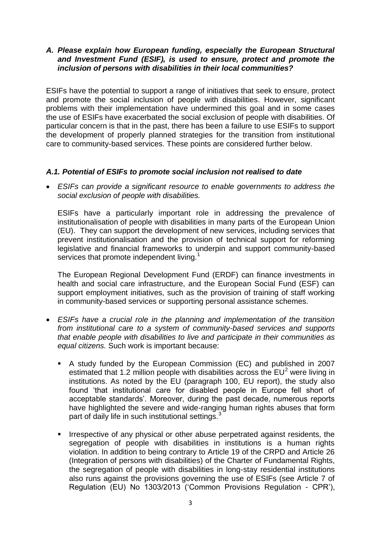## *A. Please explain how European funding, especially the European Structural and Investment Fund (ESIF), is used to ensure, protect and promote the inclusion of persons with disabilities in their local communities?*

ESIFs have the potential to support a range of initiatives that seek to ensure, protect and promote the social inclusion of people with disabilities. However, significant problems with their implementation have undermined this goal and in some cases the use of ESIFs have exacerbated the social exclusion of people with disabilities. Of particular concern is that in the past, there has been a failure to use ESIFs to support the development of properly planned strategies for the transition from institutional care to community-based services. These points are considered further below.

## *A.1. Potential of ESIFs to promote social inclusion not realised to date*

 *ESIFs can provide a significant resource to enable governments to address the social exclusion of people with disabilities.*

ESIFs have a particularly important role in addressing the prevalence of institutionalisation of people with disabilities in many parts of the European Union (EU). They can support the development of new services, including services that prevent institutionalisation and the provision of technical support for reforming legislative and financial frameworks to underpin and support community-based services that promote independent living.<sup>1</sup>

The European Regional Development Fund (ERDF) can finance investments in health and social care infrastructure, and the European Social Fund (ESF) can support employment initiatives, such as the provision of training of staff working in community-based services or supporting personal assistance schemes.

- *ESIFs have a crucial role in the planning and implementation of the transition from institutional care to a system of community-based services and supports that enable people with disabilities to live and participate in their communities as equal citizens.* Such work is important because:
	- A study funded by the European Commission (EC) and published in 2007 estimated that 1.2 million people with disabilities across the  $EU^2$  were living in institutions. As noted by the EU (paragraph 100, EU report), the study also found "that institutional care for disabled people in Europe fell short of acceptable standards'. Moreover, during the past decade, numerous reports have highlighted the severe and wide-ranging human rights abuses that form part of daily life in such institutional settings.<sup>3</sup>
	- **IFFE** Irrespective of any physical or other abuse perpetrated against residents, the segregation of people with disabilities in institutions is a human rights violation. In addition to being contrary to Article 19 of the CRPD and Article 26 (Integration of persons with disabilities) of the Charter of Fundamental Rights, the segregation of people with disabilities in long-stay residential institutions also runs against the provisions governing the use of ESIFs (see Article 7 of Regulation (EU) No 1303/2013 ("Common Provisions Regulation - CPR"),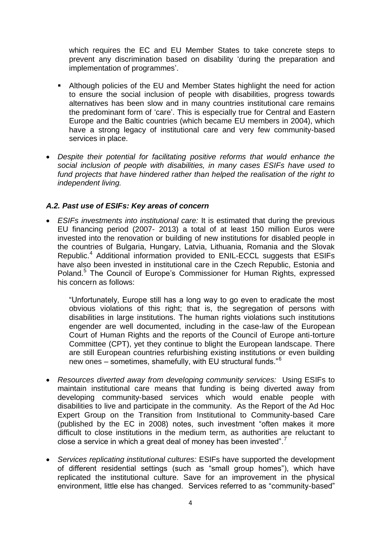which requires the EC and EU Member States to take concrete steps to prevent any discrimination based on disability "during the preparation and implementation of programmes'.

- Although policies of the EU and Member States highlight the need for action to ensure the social inclusion of people with disabilities, progress towards alternatives has been slow and in many countries institutional care remains the predominant form of "care". This is especially true for Central and Eastern Europe and the Baltic countries (which became EU members in 2004), which have a strong legacy of institutional care and very few community-based services in place.
- *Despite their potential for facilitating positive reforms that would enhance the social inclusion of people with disabilities, in many cases ESIFs have used to fund projects that have hindered rather than helped the realisation of the right to independent living.*

## *A.2. Past use of ESIFs: Key areas of concern*

 *ESIFs investments into institutional care:* It is estimated that during the previous EU financing period (2007- 2013) a total of at least 150 million Euros were invested into the renovation or building of new institutions for disabled people in the countries of Bulgaria, Hungary, Latvia, Lithuania, Romania and the Slovak Republic.<sup>4</sup> Additional information provided to ENIL-ECCL suggests that ESIFs have also been invested in institutional care in the Czech Republic, Estonia and Poland.<sup>5</sup> The Council of Europe's Commissioner for Human Rights, expressed his concern as follows:

"Unfortunately, Europe still has a long way to go even to eradicate the most obvious violations of this right; that is, the segregation of persons with disabilities in large institutions. The human rights violations such institutions engender are well documented, including in the case-law of the European Court of Human Rights and the reports of the Council of Europe anti-torture Committee (CPT), yet they continue to blight the European landscape. There are still European countries refurbishing existing institutions or even building new ones – sometimes, shamefully, with EU structural funds."<sup>6</sup>

- *Resources diverted away from developing community services:* Using ESIFs to maintain institutional care means that funding is being diverted away from developing community-based services which would enable people with disabilities to live and participate in the community. As the Report of the Ad Hoc Expert Group on the Transition from Institutional to Community-based Care (published by the EC in 2008) notes, such investment "often makes it more difficult to close institutions in the medium term, as authorities are reluctant to close a service in which a great deal of money has been invested".
- *Services replicating institutional cultures:* ESIFs have supported the development of different residential settings (such as "small group homes"), which have replicated the institutional culture. Save for an improvement in the physical environment, little else has changed. Services referred to as "community-based"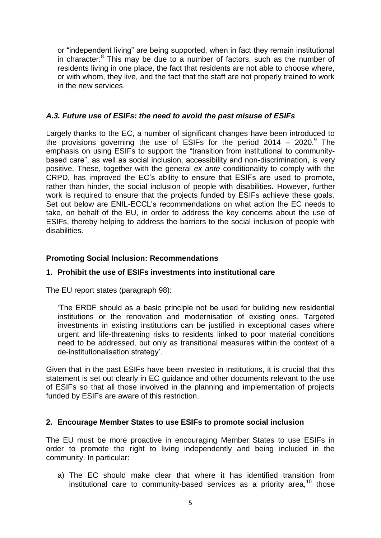or "independent living" are being supported, when in fact they remain institutional in character.<sup>8</sup> This may be due to a number of factors, such as the number of residents living in one place, the fact that residents are not able to choose where, or with whom, they live, and the fact that the staff are not properly trained to work in the new services.

## *A.3. Future use of ESIFs: the need to avoid the past misuse of ESIFs*

Largely thanks to the EC, a number of significant changes have been introduced to the provisions governing the use of ESIFs for the period 2014  $-$  2020.<sup>9</sup> The emphasis on using ESIFs to support the "transition from institutional to communitybased care", as well as social inclusion, accessibility and non-discrimination, is very positive. These, together with the general *ex ante* conditionality to comply with the CRPD, has improved the EC"s ability to ensure that ESIFs are used to promote, rather than hinder, the social inclusion of people with disabilities. However, further work is required to ensure that the projects funded by ESIFs achieve these goals. Set out below are ENIL-ECCL"s recommendations on what action the EC needs to take, on behalf of the EU, in order to address the key concerns about the use of ESIFs, thereby helping to address the barriers to the social inclusion of people with disabilities.

## **Promoting Social Inclusion: Recommendations**

## **1. Prohibit the use of ESIFs investments into institutional care**

The EU report states (paragraph 98):

"The ERDF should as a basic principle not be used for building new residential institutions or the renovation and modernisation of existing ones. Targeted investments in existing institutions can be justified in exceptional cases where urgent and life-threatening risks to residents linked to poor material conditions need to be addressed, but only as transitional measures within the context of a de-institutionalisation strategy".

Given that in the past ESIFs have been invested in institutions, it is crucial that this statement is set out clearly in EC guidance and other documents relevant to the use of ESIFs so that all those involved in the planning and implementation of projects funded by ESIFs are aware of this restriction.

## **2. Encourage Member States to use ESIFs to promote social inclusion**

The EU must be more proactive in encouraging Member States to use ESIFs in order to promote the right to living independently and being included in the community. In particular:

a) The EC should make clear that where it has identified transition from institutional care to community-based services as a priority area.<sup>10</sup> those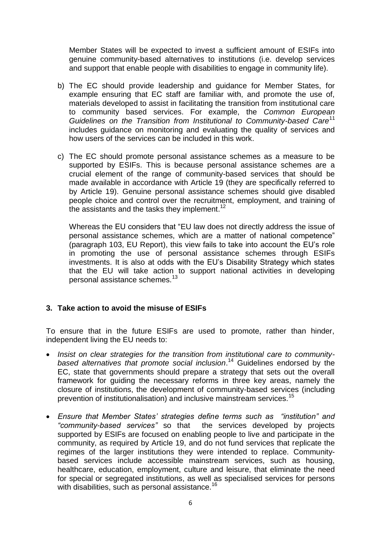Member States will be expected to invest a sufficient amount of ESIFs into genuine community-based alternatives to institutions (i.e. develop services and support that enable people with disabilities to engage in community life).

- b) The EC should provide leadership and guidance for Member States, for example ensuring that EC staff are familiar with, and promote the use of, materials developed to assist in facilitating the transition from institutional care to community based services. For example, the *Common European Guidelines on the Transition from Institutional to Community-based Care*<sup>11</sup> includes guidance on monitoring and evaluating the quality of services and how users of the services can be included in this work.
- c) The EC should promote personal assistance schemes as a measure to be supported by ESIFs. This is because personal assistance schemes are a crucial element of the range of community-based services that should be made available in accordance with Article 19 (they are specifically referred to by Article 19). Genuine personal assistance schemes should give disabled people choice and control over the recruitment, employment, and training of the assistants and the tasks they implement.<sup>12</sup>

Whereas the EU considers that "EU law does not directly address the issue of personal assistance schemes, which are a matter of national competence" (paragraph 103, EU Report), this view fails to take into account the EU"s role in promoting the use of personal assistance schemes through ESIFs investments. It is also at odds with the EU"s Disability Strategy which states that the EU will take action to support national activities in developing personal assistance schemes.<sup>13</sup>

## **3. Take action to avoid the misuse of ESIFs**

To ensure that in the future ESIFs are used to promote, rather than hinder, independent living the EU needs to:

- Insist on clear strategies for the transition from institutional care to community*based alternatives that promote social inclusion*. <sup>14</sup> Guidelines endorsed by the EC, state that governments should prepare a strategy that sets out the overall framework for guiding the necessary reforms in three key areas, namely the closure of institutions, the development of community-based services (including prevention of institutionalisation) and inclusive mainstream services.<sup>15</sup>
- *Ensure that Member States' strategies define terms such as "institution" and "community-based services"* so that the services developed by projects supported by ESIFs are focused on enabling people to live and participate in the community, as required by Article 19, and do not fund services that replicate the regimes of the larger institutions they were intended to replace. Communitybased services include accessible mainstream services, such as housing, healthcare, education, employment, culture and leisure, that eliminate the need for special or segregated institutions, as well as specialised services for persons with disabilities, such as personal assistance.<sup>16</sup>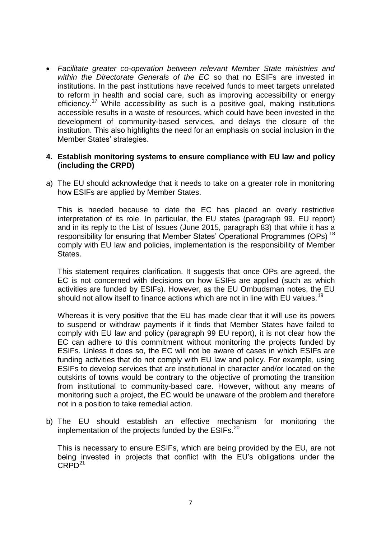*Facilitate greater co-operation between relevant Member State ministries and within the Directorate Generals of the EC* so that no ESIFs are invested in institutions. In the past institutions have received funds to meet targets unrelated to reform in health and social care, such as improving accessibility or energy efficiency.<sup>17</sup> While accessibility as such is a positive goal, making institutions accessible results in a waste of resources, which could have been invested in the development of community-based services, and delays the closure of the institution. This also highlights the need for an emphasis on social inclusion in the Member States" strategies.

#### **4. Establish monitoring systems to ensure compliance with EU law and policy (including the CRPD)**

a) The EU should acknowledge that it needs to take on a greater role in monitoring how ESIFs are applied by Member States.

This is needed because to date the EC has placed an overly restrictive interpretation of its role. In particular, the EU states (paragraph 99, EU report) and in its reply to the List of Issues (June 2015, paragraph 83) that while it has a responsibility for ensuring that Member States' Operational Programmes (OPs)<sup>18</sup> comply with EU law and policies, implementation is the responsibility of Member States.

This statement requires clarification. It suggests that once OPs are agreed, the EC is not concerned with decisions on how ESIFs are applied (such as which activities are funded by ESIFs). However, as the EU Ombudsman notes, the EU should not allow itself to finance actions which are not in line with EU values.<sup>19</sup>

Whereas it is very positive that the EU has made clear that it will use its powers to suspend or withdraw payments if it finds that Member States have failed to comply with EU law and policy (paragraph 99 EU report), it is not clear how the EC can adhere to this commitment without monitoring the projects funded by ESIFs. Unless it does so, the EC will not be aware of cases in which ESIFs are funding activities that do not comply with EU law and policy. For example, using ESIFs to develop services that are institutional in character and/or located on the outskirts of towns would be contrary to the objective of promoting the transition from institutional to community-based care. However, without any means of monitoring such a project, the EC would be unaware of the problem and therefore not in a position to take remedial action.

b) The EU should establish an effective mechanism for monitoring the implementation of the projects funded by the  $ESIFs.<sup>20</sup>$ 

This is necessary to ensure ESIFs, which are being provided by the EU, are not being invested in projects that conflict with the EU"s obligations under the  $CRPD<sup>21</sup>$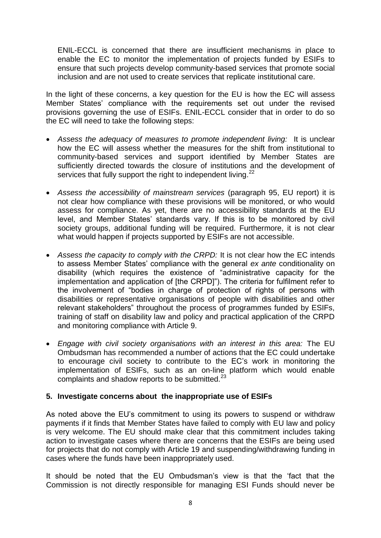ENIL-ECCL is concerned that there are insufficient mechanisms in place to enable the EC to monitor the implementation of projects funded by ESIFs to ensure that such projects develop community-based services that promote social inclusion and are not used to create services that replicate institutional care.

In the light of these concerns, a key question for the EU is how the EC will assess Member States" compliance with the requirements set out under the revised provisions governing the use of ESIFs. ENIL-ECCL consider that in order to do so the EC will need to take the following steps:

- *Assess the adequacy of measures to promote independent living:* It is unclear how the EC will assess whether the measures for the shift from institutional to community-based services and support identified by Member States are sufficiently directed towards the closure of institutions and the development of services that fully support the right to independent living.<sup>22</sup>
- *Assess the accessibility of mainstream services* (paragraph 95, EU report) it is not clear how compliance with these provisions will be monitored, or who would assess for compliance. As yet, there are no accessibility standards at the EU level, and Member States' standards vary. If this is to be monitored by civil society groups, additional funding will be required. Furthermore, it is not clear what would happen if projects supported by ESIFs are not accessible.
- *Assess the capacity to comply with the CRPD:* It is not clear how the EC intends to assess Member States" compliance with the general *ex ante* conditionality on disability (which requires the existence of "administrative capacity for the implementation and application of [the CRPD]"). The criteria for fulfilment refer to the involvement of "bodies in charge of protection of rights of persons with disabilities or representative organisations of people with disabilities and other relevant stakeholders" throughout the process of programmes funded by ESIFs, training of staff on disability law and policy and practical application of the CRPD and monitoring compliance with Article 9.
- *Engage with civil society organisations with an interest in this area:* The EU Ombudsman has recommended a number of actions that the EC could undertake to encourage civil society to contribute to the EC"s work in monitoring the implementation of ESIFs, such as an on-line platform which would enable complaints and shadow reports to be submitted.<sup>23</sup>

## **5. Investigate concerns about the inappropriate use of ESIFs**

As noted above the EU"s commitment to using its powers to suspend or withdraw payments if it finds that Member States have failed to comply with EU law and policy is very welcome. The EU should make clear that this commitment includes taking action to investigate cases where there are concerns that the ESIFs are being used for projects that do not comply with Article 19 and suspending/withdrawing funding in cases where the funds have been inappropriately used.

It should be noted that the EU Ombudsman"s view is that the "fact that the Commission is not directly responsible for managing ESI Funds should never be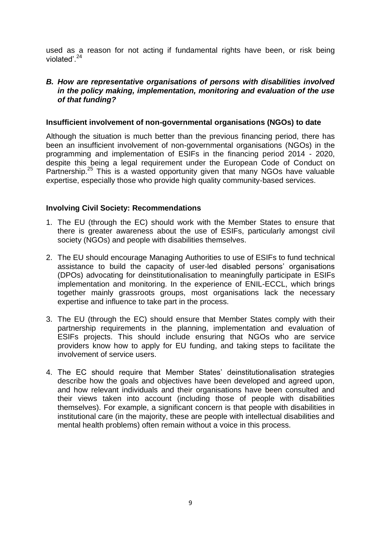used as a reason for not acting if fundamental rights have been, or risk being violated $^{\prime}$ <sup>24</sup>

## *B. How are representative organisations of persons with disabilities involved in the policy making, implementation, monitoring and evaluation of the use of that funding?*

#### **Insufficient involvement of non-governmental organisations (NGOs) to date**

Although the situation is much better than the previous financing period, there has been an insufficient involvement of non-governmental organisations (NGOs) in the programming and implementation of ESIFs in the financing period 2014 - 2020, despite this being a legal requirement under the European Code of Conduct on Partnership.<sup>25</sup> This is a wasted opportunity given that many NGOs have valuable expertise, especially those who provide high quality community-based services.

## **Involving Civil Society: Recommendations**

- 1. The EU (through the EC) should work with the Member States to ensure that there is greater awareness about the use of ESIFs, particularly amongst civil society (NGOs) and people with disabilities themselves.
- 2. The EU should encourage Managing Authorities to use of ESIFs to fund technical assistance to build the capacity of user-led disabled persons" organisations (DPOs) advocating for deinstitutionalisation to meaningfully participate in ESIFs implementation and monitoring. In the experience of ENIL-ECCL, which brings together mainly grassroots groups, most organisations lack the necessary expertise and influence to take part in the process.
- 3. The EU (through the EC) should ensure that Member States comply with their partnership requirements in the planning, implementation and evaluation of ESIFs projects. This should include ensuring that NGOs who are service providers know how to apply for EU funding, and taking steps to facilitate the involvement of service users.
- 4. The EC should require that Member States' deinstitutionalisation strategies describe how the goals and objectives have been developed and agreed upon, and how relevant individuals and their organisations have been consulted and their views taken into account (including those of people with disabilities themselves). For example, a significant concern is that people with disabilities in institutional care (in the majority, these are people with intellectual disabilities and mental health problems) often remain without a voice in this process.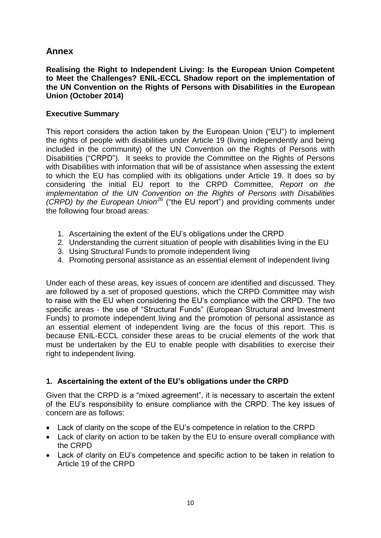# **Annex**

**Realising the Right to Independent Living: Is the European Union Competent to Meet the Challenges? ENIL-ECCL Shadow report on the implementation of the UN Convention on the Rights of Persons with Disabilities in the European Union (October 2014)**

## **Executive Summary**

This report considers the action taken by the European Union ("EU") to implement the rights of people with disabilities under Article 19 (living independently and being included in the community) of the UN Convention on the Rights of Persons with Disabilities ("CRPD"). It seeks to provide the Committee on the Rights of Persons with Disabilities with information that will be of assistance when assessing the extent to which the EU has complied with its obligations under Article 19. It does so by considering the initial EU report to the CRPD Committee, *Report on the implementation of the UN Convention on the Rights of Persons with Disabilities (CRPD) by the European Union<sup>26</sup>* ("the EU report") and providing comments under the following four broad areas:

- 1. Ascertaining the extent of the EU"s obligations under the CRPD
- 2. Understanding the current situation of people with disabilities living in the EU
- 3. Using Structural Funds to promote independent living
- 4. Promoting personal assistance as an essential element of independent living

Under each of these areas, key issues of concern are identified and discussed. They are followed by a set of proposed questions, which the CRPD Committee may wish to raise with the EU when considering the EU"s compliance with the CRPD. The two specific areas - the use of "Structural Funds" (European Structural and Investment Funds) to promote independent living and the promotion of personal assistance as an essential element of independent living are the focus of this report. This is because ENIL-ECCL consider these areas to be crucial elements of the work that must be undertaken by the EU to enable people with disabilities to exercise their right to independent living.

## **1. Ascertaining the extent of the EU's obligations under the CRPD**

Given that the CRPD is a "mixed agreement", it is necessary to ascertain the extent of the EU"s responsibility to ensure compliance with the CRPD. The key issues of concern are as follows:

- Lack of clarity on the scope of the EU"s competence in relation to the CRPD
- Lack of clarity on action to be taken by the EU to ensure overall compliance with the CRPD
- Lack of clarity on EU"s competence and specific action to be taken in relation to Article 19 of the CRPD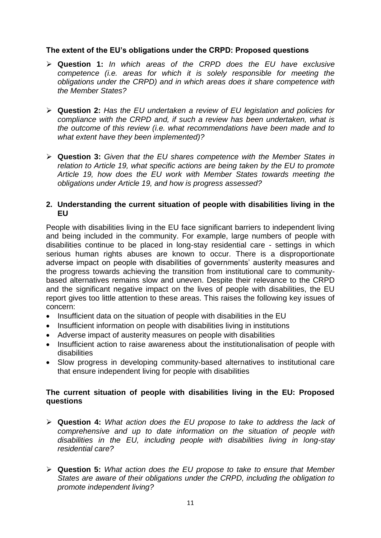## **The extent of the EU's obligations under the CRPD: Proposed questions**

- **Question 1:** *In which areas of the CRPD does the EU have exclusive competence (i.e. areas for which it is solely responsible for meeting the obligations under the CRPD) and in which areas does it share competence with the Member States?*
- **Question 2:** *Has the EU undertaken a review of EU legislation and policies for compliance with the CRPD and, if such a review has been undertaken, what is the outcome of this review (i.e. what recommendations have been made and to what extent have they been implemented)?*
- **Question 3:** *Given that the EU shares competence with the Member States in relation to Article 19, what specific actions are being taken by the EU to promote Article 19, how does the EU work with Member States towards meeting the obligations under Article 19, and how is progress assessed?*

## **2. Understanding the current situation of people with disabilities living in the EU**

People with disabilities living in the EU face significant barriers to independent living and being included in the community. For example, large numbers of people with disabilities continue to be placed in long-stay residential care - settings in which serious human rights abuses are known to occur. There is a disproportionate adverse impact on people with disabilities of governments' austerity measures and the progress towards achieving the transition from institutional care to communitybased alternatives remains slow and uneven. Despite their relevance to the CRPD and the significant negative impact on the lives of people with disabilities, the EU report gives too little attention to these areas. This raises the following key issues of concern:

- Insufficient data on the situation of people with disabilities in the EU
- Insufficient information on people with disabilities living in institutions
- Adverse impact of austerity measures on people with disabilities
- Insufficient action to raise awareness about the institutionalisation of people with disabilities
- Slow progress in developing community-based alternatives to institutional care that ensure independent living for people with disabilities

## **The current situation of people with disabilities living in the EU: Proposed questions**

- **Question 4:** *What action does the EU propose to take to address the lack of comprehensive and up to date information on the situation of people with disabilities in the EU, including people with disabilities living in long-stay residential care?*
- **Question 5:** *What action does the EU propose to take to ensure that Member States are aware of their obligations under the CRPD, including the obligation to promote independent living?*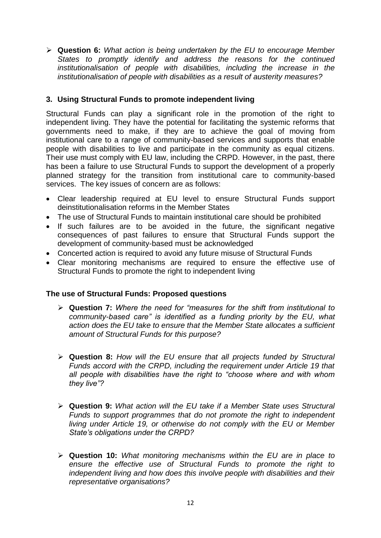**Question 6:** *What action is being undertaken by the EU to encourage Member States to promptly identify and address the reasons for the continued institutionalisation of people with disabilities, including the increase in the institutionalisation of people with disabilities as a result of austerity measures?* 

## **3. Using Structural Funds to promote independent living**

Structural Funds can play a significant role in the promotion of the right to independent living. They have the potential for facilitating the systemic reforms that governments need to make, if they are to achieve the goal of moving from institutional care to a range of community-based services and supports that enable people with disabilities to live and participate in the community as equal citizens. Their use must comply with EU law, including the CRPD. However, in the past, there has been a failure to use Structural Funds to support the development of a properly planned strategy for the transition from institutional care to community-based services. The key issues of concern are as follows:

- Clear leadership required at EU level to ensure Structural Funds support deinstitutionalisation reforms in the Member States
- The use of Structural Funds to maintain institutional care should be prohibited
- If such failures are to be avoided in the future, the significant negative consequences of past failures to ensure that Structural Funds support the development of community-based must be acknowledged
- Concerted action is required to avoid any future misuse of Structural Funds
- Clear monitoring mechanisms are required to ensure the effective use of Structural Funds to promote the right to independent living

## **The use of Structural Funds: Proposed questions**

- **Question 7:** *Where the need for "measures for the shift from institutional to community-based care" is identified as a funding priority by the EU, what action does the EU take to ensure that the Member State allocates a sufficient amount of Structural Funds for this purpose?*
- **Question 8:** *How will the EU ensure that all projects funded by Structural Funds accord with the CRPD, including the requirement under Article 19 that all people with disabilities have the right to "choose where and with whom they live"?*
- **Question 9:** *What action will the EU take if a Member State uses Structural Funds to support programmes that do not promote the right to independent living under Article 19, or otherwise do not comply with the EU or Member State's obligations under the CRPD?*
- **Question 10:** *What monitoring mechanisms within the EU are in place to ensure the effective use of Structural Funds to promote the right to independent living and how does this involve people with disabilities and their representative organisations?*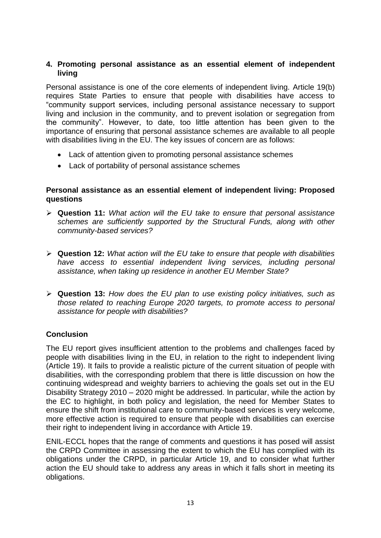## **4. Promoting personal assistance as an essential element of independent living**

Personal assistance is one of the core elements of independent living. Article 19(b) requires State Parties to ensure that people with disabilities have access to "community support services, including personal assistance necessary to support living and inclusion in the community, and to prevent isolation or segregation from the community". However, to date, too little attention has been given to the importance of ensuring that personal assistance schemes are available to all people with disabilities living in the EU. The key issues of concern are as follows:

- Lack of attention given to promoting personal assistance schemes
- Lack of portability of personal assistance schemes

## **Personal assistance as an essential element of independent living: Proposed questions**

- **Question 11:** *What action will the EU take to ensure that personal assistance schemes are sufficiently supported by the Structural Funds, along with other community-based services?*
- **Question 12:** *What action will the EU take to ensure that people with disabilities have access to essential independent living services, including personal assistance, when taking up residence in another EU Member State?*
- **Question 13:** *How does the EU plan to use existing policy initiatives, such as those related to reaching Europe 2020 targets, to promote access to personal assistance for people with disabilities?*

## **Conclusion**

The EU report gives insufficient attention to the problems and challenges faced by people with disabilities living in the EU, in relation to the right to independent living (Article 19). It fails to provide a realistic picture of the current situation of people with disabilities, with the corresponding problem that there is little discussion on how the continuing widespread and weighty barriers to achieving the goals set out in the EU Disability Strategy 2010 – 2020 might be addressed. In particular, while the action by the EC to highlight, in both policy and legislation, the need for Member States to ensure the shift from institutional care to community-based services is very welcome, more effective action is required to ensure that people with disabilities can exercise their right to independent living in accordance with Article 19.

ENIL-ECCL hopes that the range of comments and questions it has posed will assist the CRPD Committee in assessing the extent to which the EU has complied with its obligations under the CRPD, in particular Article 19, and to consider what further action the EU should take to address any areas in which it falls short in meeting its obligations.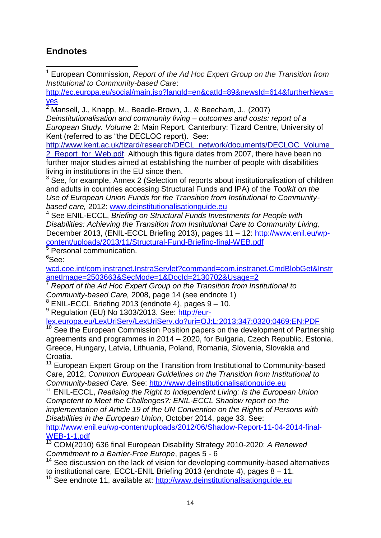# **Endnotes**

1 <sup>1</sup> European Commission, *Report of the Ad Hoc Expert Group on the Transition from Institutional to Community-based Care*:

[http://ec.europa.eu/social/main.jsp?langId=en&catId=89&newsId=614&furtherNews=](http://ec.europa.eu/social/main.jsp?langId=en&catId=89&newsId=614&furtherNews=yes) [yes](http://ec.europa.eu/social/main.jsp?langId=en&catId=89&newsId=614&furtherNews=yes)

 $\overline{\frac{2}{1}}$  Mansell, J., Knapp, M., Beadle-Brown, J., & Beecham, J., (2007) *Deinstitutionalisation and community living – outcomes and costs: report of a European Study. Volume* 2: Main Report. Canterbury: Tizard Centre, University of Kent (referred to as "the DECLOC report). See:

[http://www.kent.ac.uk/tizard/research/DECL\\_network/documents/DECLOC\\_Volume\\_](http://www.kent.ac.uk/tizard/research/DECL_network/documents/DECLOC_Volume_2_Report_for_Web.pdf)

2 Report for Web.pdf. Although this figure dates from 2007, there have been no further major studies aimed at establishing the number of people with disabilities living in institutions in the EU since then.

<sup>3</sup> See, for example, Annex 2 (Selection of reports about institutionalisation of children and adults in countries accessing Structural Funds and IPA) of the *Toolkit on the Use of European Union Funds for the Transition from Institutional to Communitybased care,* 2012: [www.deinstitutionalisationguide.eu](http://www.deinstitutionalisationguide.eu/)

<sup>4</sup> See ENIL-ECCL, *Briefing on Structural Funds Investments for People with Disabilities: Achieving the Transition from Institutional Care to Community Living,*  December 2013, (ENIL-ECCL Briefing 2013), pages 11 – 12: [http://www.enil.eu/wp](http://www.enil.eu/wp-content/uploads/2013/11/Structural-Fund-Briefing-final-WEB.pdf)[content/uploads/2013/11/Structural-Fund-Briefing-final-WEB.pdf](http://www.enil.eu/wp-content/uploads/2013/11/Structural-Fund-Briefing-final-WEB.pdf)

 $5$  Personal communication.

 $6$ See:

[wcd.coe.int/com.instranet.InstraServlet?command=com.instranet.CmdBlobGet&Instr](file:///C:/Downloads/wcd.coe.int/com.instranet.InstraServlet%3fcommand=com.instranet.CmdBlobGet&InstranetImage=2503663&SecMode=1&DocId=2130702&Usage=2) [anetImage=2503663&SecMode=1&DocId=2130702&Usage=2](file:///C:/Downloads/wcd.coe.int/com.instranet.InstraServlet%3fcommand=com.instranet.CmdBlobGet&InstranetImage=2503663&SecMode=1&DocId=2130702&Usage=2)

<sup>7</sup> *Report of the Ad Hoc Expert Group on the Transition from Institutional to Community-based Care,* 2008, page 14 (see endnote 1)

<sup>8</sup> ENIL-ECCL Briefing 2013 (endnote 4), pages 9 – 10.

<sup>9</sup> Regulation (EU) No 1303/2013. See: [http://eur-](http://eur-lex.europa.eu/LexUriServ/LexUriServ.do?uri=OJ:L:2013:347:0320:0469:EN:PDF%20)

[lex.europa.eu/LexUriServ/LexUriServ.do?uri=OJ:L:2013:347:0320:0469:EN:PDF](http://eur-lex.europa.eu/LexUriServ/LexUriServ.do?uri=OJ:L:2013:347:0320:0469:EN:PDF%20)

 $10$  See the European Commission Position papers on the development of Partnership agreements and programmes in 2014 – 2020, for Bulgaria, Czech Republic, Estonia, Greece, Hungary, Latvia, Lithuania, Poland, Romania, Slovenia, Slovakia and Croatia.

<sup>11</sup> European Expert Group on the Transition from Institutional to Community-based Care, 2012, *Common European Guidelines on the Transition from Institutional to Community-based Care.* See: [http://www.deinstitutionalisationguide.eu](http://www.deinstitutionalisationguide.eu/)

<sup>12</sup> ENIL-ECCL, *Realising the Right to Independent Living: Is the European Union Competent to Meet the Challenges?: ENIL-ECCL Shadow report on the implementation of Article 19 of the UN Convention on the Rights of Persons with Disabilities in the European Union*, October 2014, page 33. See:

[http://www.enil.eu/wp-content/uploads/2012/06/Shadow-Report-11-04-2014-final-](http://www.enil.eu/wp-content/uploads/2012/06/Shadow-Report-11-04-2014-final-WEB-1-1.pdf)[WEB-1-1.pdf](http://www.enil.eu/wp-content/uploads/2012/06/Shadow-Report-11-04-2014-final-WEB-1-1.pdf)

<sup>13</sup> COM(2010) 636 final European Disability Strategy 2010-2020: *A Renewed Commitment to a Barrier-Free Europe*, pages 5 - 6

<sup>14</sup> See discussion on the lack of vision for developing community-based alternatives to institutional care, ECCL-ENIL Briefing 2013 (endnote 4), pages 8 – 11.

<sup>15</sup> See endnote 11, available at: [http://www.deinstitutionalisationguide.eu](http://www.deinstitutionalisationguide.eu/)